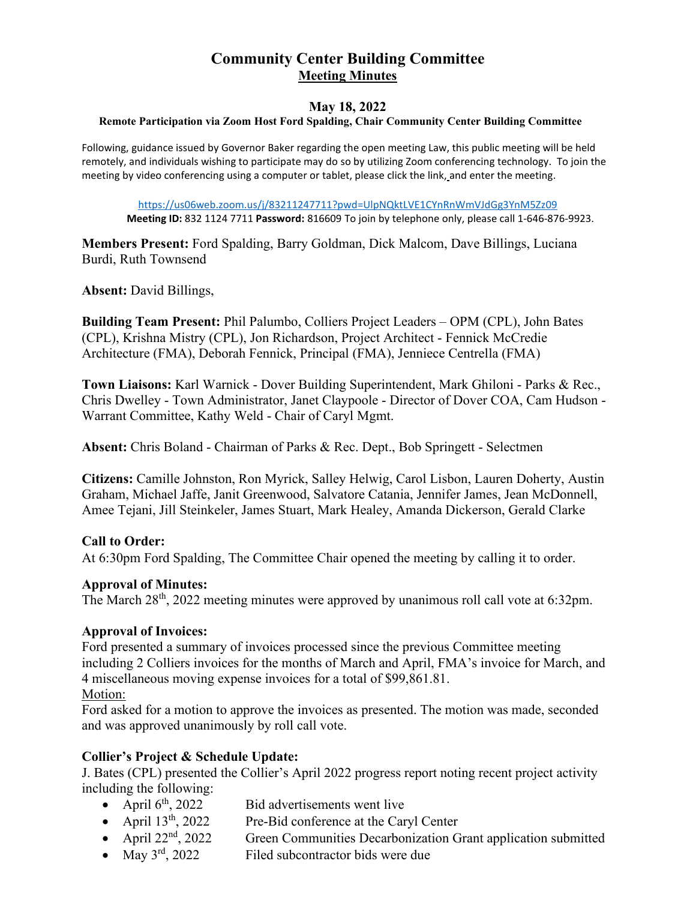# **Community Center Building Committee Meeting Minutes**

# **May 18, 2022 Remote Participation via Zoom Host Ford Spalding, Chair Community Center Building Committee**

Following, guidance issued by Governor Baker regarding the open meeting Law, this public meeting will be held remotely, and individuals wishing to participate may do so by utilizing Zoom conferencing technology. To join the meeting by video conferencing using a computer or tablet, please click the link, and enter the meeting.

<https://us06web.zoom.us/j/83211247711?pwd=UlpNQktLVE1CYnRnWmVJdGg3YnM5Zz09> **Meeting ID:** 832 1124 7711 **Password:** 816609 To join by telephone only, please call 1-646-876-9923.

**Members Present:** Ford Spalding, Barry Goldman, Dick Malcom, Dave Billings, Luciana Burdi, Ruth Townsend

**Absent:** David Billings,

**Building Team Present:** Phil Palumbo, Colliers Project Leaders – OPM (CPL), John Bates (CPL), Krishna Mistry (CPL), Jon Richardson, Project Architect - Fennick McCredie Architecture (FMA), Deborah Fennick, Principal (FMA), Jenniece Centrella (FMA)

**Town Liaisons:** Karl Warnick - Dover Building Superintendent, Mark Ghiloni - Parks & Rec., Chris Dwelley - Town Administrator, Janet Claypoole - Director of Dover COA, Cam Hudson - Warrant Committee, Kathy Weld - Chair of Caryl Mgmt.

**Absent:** Chris Boland - Chairman of Parks & Rec. Dept., Bob Springett - Selectmen

**Citizens:** Camille Johnston, Ron Myrick, Salley Helwig, Carol Lisbon, Lauren Doherty, Austin Graham, Michael Jaffe, Janit Greenwood, Salvatore Catania, Jennifer James, Jean McDonnell, Amee Tejani, Jill Steinkeler, James Stuart, Mark Healey, Amanda Dickerson, Gerald Clarke

# **Call to Order:**

At 6:30pm Ford Spalding, The Committee Chair opened the meeting by calling it to order.

### **Approval of Minutes:**

The March 28<sup>th</sup>, 2022 meeting minutes were approved by unanimous roll call vote at 6:32pm.

### **Approval of Invoices:**

Ford presented a summary of invoices processed since the previous Committee meeting including 2 Colliers invoices for the months of March and April, FMA's invoice for March, and 4 miscellaneous moving expense invoices for a total of \$99,861.81.

### Motion:

Ford asked for a motion to approve the invoices as presented. The motion was made, seconded and was approved unanimously by roll call vote.

### **Collier's Project & Schedule Update:**

J. Bates (CPL) presented the Collier's April 2022 progress report noting recent project activity including the following:

- April  $6<sup>th</sup>$ , 2022 Bid advertisements went live<br>• April  $13<sup>th</sup>$ , 2022 Pre-Bid conference at the Car
- Pre-Bid conference at the Caryl Center
- April 22<sup>nd</sup>, 2022 Green Communities Decarbonization Grant application submitted<br>• May  $3^{rd}$ , 2022 Filed subcontractor bids were due
- Filed subcontractor bids were due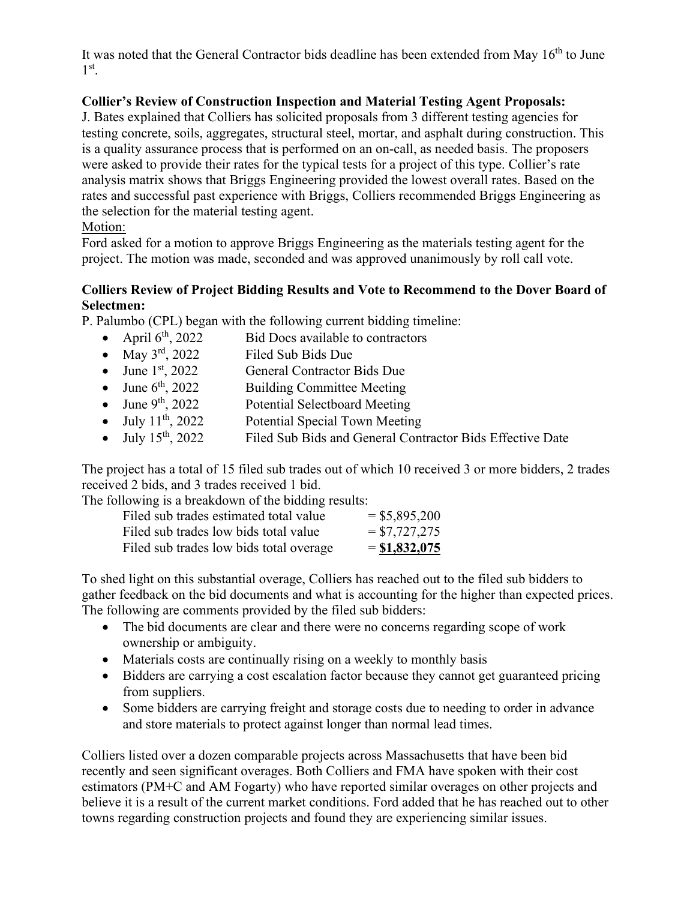It was noted that the General Contractor bids deadline has been extended from May  $16<sup>th</sup>$  to June  $1<sup>st</sup>$ .

# **Collier's Review of Construction Inspection and Material Testing Agent Proposals:**

J. Bates explained that Colliers has solicited proposals from 3 different testing agencies for testing concrete, soils, aggregates, structural steel, mortar, and asphalt during construction. This is a quality assurance process that is performed on an on-call, as needed basis. The proposers were asked to provide their rates for the typical tests for a project of this type. Collier's rate analysis matrix shows that Briggs Engineering provided the lowest overall rates. Based on the rates and successful past experience with Briggs, Colliers recommended Briggs Engineering as the selection for the material testing agent.

# Motion:

Ford asked for a motion to approve Briggs Engineering as the materials testing agent for the project. The motion was made, seconded and was approved unanimously by roll call vote.

# **Colliers Review of Project Bidding Results and Vote to Recommend to the Dover Board of Selectmen:**

**P. Palumbo (CPL) began with the following current bidding timeline:**<br>• April  $6<sup>th</sup>$ , 2022 Bid Docs available to contractors

- Bid Docs available to contractors
- May 3<sup>rd</sup>, 2022 Filed Sub Bids Due
- June  $1^{st}$ , 2022 General Contractor Bids Due<br>
June  $6^{th}$ , 2022 Building Committee Meeting
- June  $6<sup>th</sup>$ , 2022 Building Committee Meeting<br>
June  $9<sup>th</sup>$ , 2022 Potential Selectboard Meeting
- June  $9^{th}$ , 2022 Potential Selectboard Meeting<br>
July  $11^{th}$ , 2022 Potential Special Town Meetin
- Potential Special Town Meeting
- July  $15<sup>th</sup>$ , 2022 Filed Sub Bids and General Contractor Bids Effective Date

The project has a total of 15 filed sub trades out of which 10 received 3 or more bidders, 2 trades received 2 bids, and 3 trades received 1 bid.

The following is a breakdown of the bidding results:

| Filed sub trades estimated total value  | $=$ \$5,895,200 |
|-----------------------------------------|-----------------|
| Filed sub trades low bids total value   | $= $7,727,275$  |
| Filed sub trades low bids total overage | $=$ \$1,832,075 |

To shed light on this substantial overage, Colliers has reached out to the filed sub bidders to gather feedback on the bid documents and what is accounting for the higher than expected prices. The following are comments provided by the filed sub bidders:

- The bid documents are clear and there were no concerns regarding scope of work ownership or ambiguity.
- Materials costs are continually rising on a weekly to monthly basis
- Bidders are carrying a cost escalation factor because they cannot get guaranteed pricing from suppliers.
- Some bidders are carrying freight and storage costs due to needing to order in advance and store materials to protect against longer than normal lead times.

Colliers listed over a dozen comparable projects across Massachusetts that have been bid recently and seen significant overages. Both Colliers and FMA have spoken with their cost estimators (PM+C and AM Fogarty) who have reported similar overages on other projects and believe it is a result of the current market conditions. Ford added that he has reached out to other towns regarding construction projects and found they are experiencing similar issues.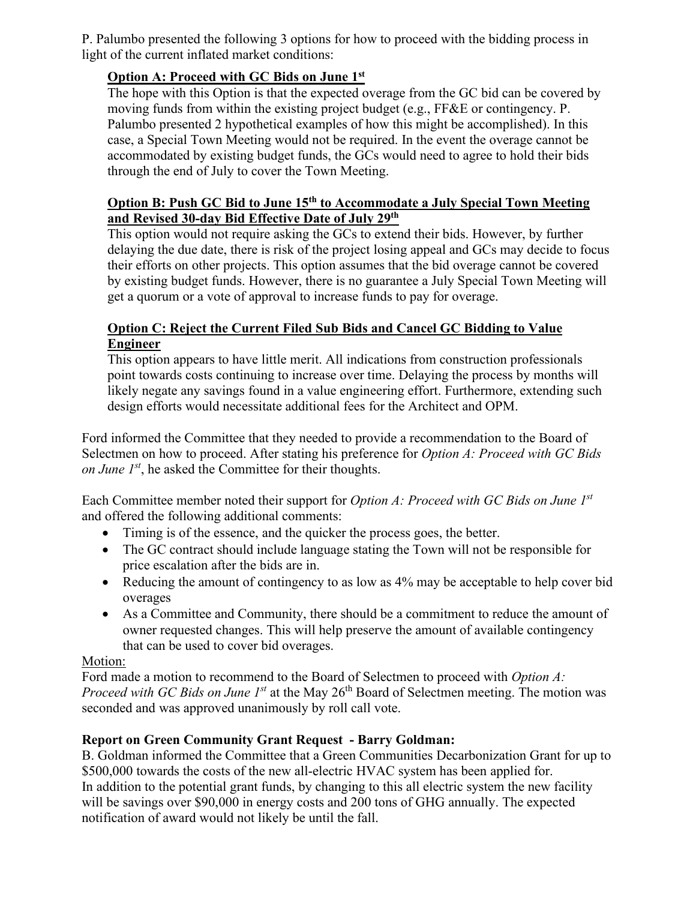P. Palumbo presented the following 3 options for how to proceed with the bidding process in light of the current inflated market conditions:

# **Option A: Proceed with GC Bids on June 1st**

The hope with this Option is that the expected overage from the GC bid can be covered by moving funds from within the existing project budget (e.g., FF&E or contingency. P. Palumbo presented 2 hypothetical examples of how this might be accomplished). In this case, a Special Town Meeting would not be required. In the event the overage cannot be accommodated by existing budget funds, the GCs would need to agree to hold their bids through the end of July to cover the Town Meeting.

# **Option B: Push GC Bid to June 15th to Accommodate a July Special Town Meeting and Revised 30-day Bid Effective Date of July 29th**

This option would not require asking the GCs to extend their bids. However, by further delaying the due date, there is risk of the project losing appeal and GCs may decide to focus their efforts on other projects. This option assumes that the bid overage cannot be covered by existing budget funds. However, there is no guarantee a July Special Town Meeting will get a quorum or a vote of approval to increase funds to pay for overage.

# **Option C: Reject the Current Filed Sub Bids and Cancel GC Bidding to Value Engineer**

This option appears to have little merit. All indications from construction professionals point towards costs continuing to increase over time. Delaying the process by months will likely negate any savings found in a value engineering effort. Furthermore, extending such design efforts would necessitate additional fees for the Architect and OPM.

Ford informed the Committee that they needed to provide a recommendation to the Board of Selectmen on how to proceed. After stating his preference for *Option A: Proceed with GC Bids on June 1st*, he asked the Committee for their thoughts.

Each Committee member noted their support for *Option A: Proceed with GC Bids on June 1st* and offered the following additional comments:

- Timing is of the essence, and the quicker the process goes, the better.
- The GC contract should include language stating the Town will not be responsible for price escalation after the bids are in.
- Reducing the amount of contingency to as low as 4% may be acceptable to help cover bid overages
- As a Committee and Community, there should be a commitment to reduce the amount of owner requested changes. This will help preserve the amount of available contingency that can be used to cover bid overages.

# Motion:

Ford made a motion to recommend to the Board of Selectmen to proceed with *Option A: Proceed with GC Bids on June 1<sup>st</sup>* at the May 26<sup>th</sup> Board of Selectmen meeting. The motion was seconded and was approved unanimously by roll call vote.

# **Report on Green Community Grant Request - Barry Goldman:**

B. Goldman informed the Committee that a Green Communities Decarbonization Grant for up to \$500,000 towards the costs of the new all-electric HVAC system has been applied for. In addition to the potential grant funds, by changing to this all electric system the new facility will be savings over \$90,000 in energy costs and 200 tons of GHG annually. The expected notification of award would not likely be until the fall.